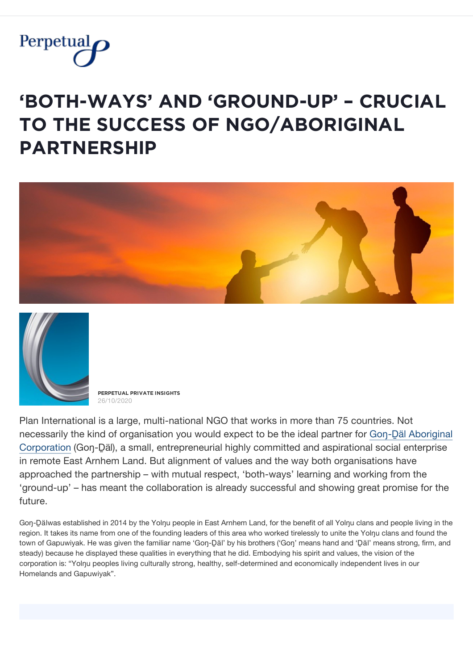

## **'BǾȚĦ-ẄǺỲȘ' ǺŇĐ 'ĢŘǾŲŇĐ-ŲP' – ČŘŲČİǺĿ ȚǾ ȚĦĚ ȘŲČČĚȘȘ ǾF ŇĢǾ/ǺBǾŘİĢİŇǺĿ PǺŘȚŇĚŘȘĦİP**





**PĚŘPĚȚŲǺĿ PŘİVǺȚĚ İŇȘİĢĦȚȘ** 26/10/2020

Plan International is a large, multi-national NGO that works in more than 75 countries. Not [necessarily the kind of organisation you would expect to be the ideal partner for Go](https://gongdal.wordpress.com/)n-Däl Aboriginal Corporation (Goŋ-Ḏäl), a small, entrepreneurial highly committed and aspirational social enterprise in remote East Arnhem Land. But alignment of values and the way both organisations have approached the partnership – with mutual respect, 'both-ways' learning and working from the 'ground-up' – has meant the collaboration is already successful and showing great promise for the future.

Goŋ-Dälwas established in 2014 by the Yolŋu people in East Arnhem Land, for the benefit of all Yolŋu clans and people living in the region. It takes its name from one of the founding leaders of this area who worked tirelessly to unite the Yolŋu clans and found the town of Gapuwiyak. He was given the familiar name 'Goŋ-Ḏäl' by his brothers ('Goŋ' means hand and 'Ḏäl' means strong, firm, and steady) because he displayed these qualities in everything that he did. Embodying his spirit and values, the vision of the corporation is: "Yolnu peoples living culturally strong, healthy, self-determined and economically independent lives in our Homelands and Gapuwiyak".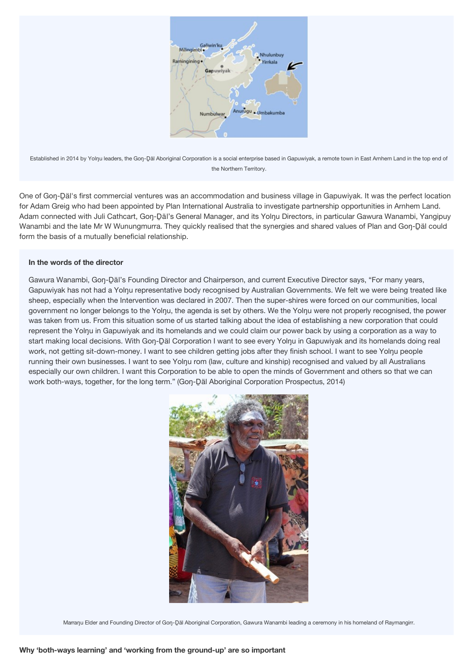

Established in 2014 by Yolŋu leaders, the Goŋ-Däl Aboriginal Corporation is a social enterprise based in Gapuwiyak, a remote town in East Arnhem Land in the top end of the Northern Territory.

One of Goŋ-Ḏäl's first commercial ventures was an accommodation and business village in Gapuwiyak. It was the perfect location for Adam Greig who had been appointed by Plan International Australia to investigate partnership opportunities in Arnhem Land. Adam connected with Juli Cathcart, Gon-Däl's General Manager, and its Yolnu Directors, in particular Gawura Wanambi, Yangipuy Wanambi and the late Mr W Wunungmurra. They quickly realised that the synergies and shared values of Plan and Goŋ-D̥äl could form the basis of a mutually beneficial relationship.

## **In the words of the director**

Gawura Wanambi, Gon-Däl's Founding Director and Chairperson, and current Executive Director says, "For many years, Gapuwiyak has not had a Yolnu representative body recognised by Australian Governments. We felt we were being treated like sheep, especially when the Intervention was declared in 2007. Then the super-shires were forced on our communities, local government no longer belongs to the Yolnu, the agenda is set by others. We the Yolnu were not properly recognised, the power was taken from us. From this situation some of us started talking about the idea of establishing a new corporation that could represent the Yolnu in Gapuwiyak and its homelands and we could claim our power back by using a corporation as a way to start making local decisions. With Goŋ-D̥äl Corporation I want to see every Yolŋu in Gapuwiyak and its homelands doing real work, not getting sit-down-money. I want to see children getting jobs after they finish school. I want to see Yolŋu people running their own businesses. I want to see Yolnu rom (law, culture and kinship) recognised and valued by all Australians especially our own children. I want this Corporation to be able to open the minds of Government and others so that we can work both-ways, together, for the long term." (Gon-Däl Aboriginal Corporation Prospectus, 2014)



Marranu Elder and Founding Director of Gon-Däl Aboriginal Corporation, Gawura Wanambi leading a ceremony in his homeland of Raymangirr.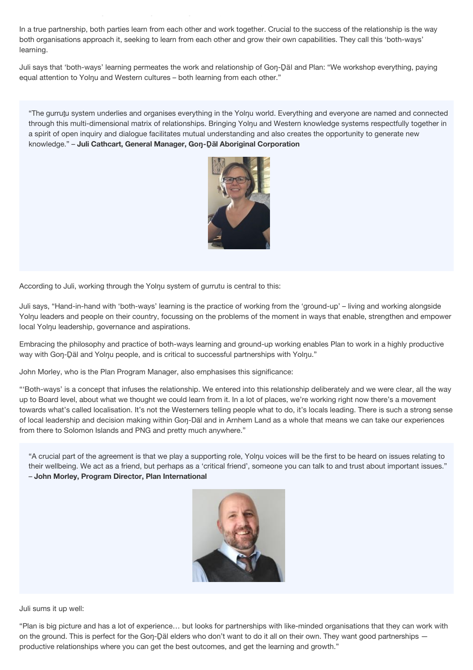In a true partnership, both parties learn from each other and work together. Crucial to the success of the relationship is the way both organisations approach it, seeking to learn from each other and grow their own capabilities. They call this 'both-ways' learning.

Juli says that 'both-ways' learning permeates the work and relationship of Gon-Däl and Plan: "We workshop everything, paying equal attention to Yolnu and Western cultures – both learning from each other."

"The gurruṯu system underlies and organises everything in the Yolŋu world. Everything and everyone are named and connected through this multi-dimensional matrix of relationships. Bringing Yolŋu and Western knowledge systems respectfully together in a spirit of open inquiry and dialogue facilitates mutual understanding and also creates the opportunity to generate new knowledge." – **Juli Cathcart, General Manager, Goŋ-Ḏäl Aboriginal Corporation**



According to Juli, working through the Yolnu system of gurrutu is central to this:

**Why 'both-ways learning' and 'working from the ground-up' are so important**

Juli says, "Hand-in-hand with 'both-ways' learning is the practice of working from the 'ground-up' – living and working alongside Yolnu leaders and people on their country, focussing on the problems of the moment in ways that enable, strengthen and empower local Yolŋu leadership, governance and aspirations.

Embracing the philosophy and practice of both-ways learning and ground-up working enables Plan to work in a highly productive way with Gon-Däl and Yolnu people, and is critical to successful partnerships with Yolnu."

John Morley, who is the Plan Program Manager, also emphasises this significance:

"'Both-ways' is a concept that infuses the relationship. We entered into this relationship deliberately and we were clear, all the way up to Board level, about what we thought we could learn from it. In a lot of places, we're working right now there's a movement towards what's called localisation. It's not the Westerners telling people what to do, it's locals leading. There is such a strong sense of local leadership and decision making within Goŋ-Däl and in Arnhem Land as a whole that means we can take our experiences from there to Solomon Islands and PNG and pretty much anywhere."

"A crucial part of the agreement is that we play a supporting role, Yolŋu voices will be the first to be heard on issues relating to their wellbeing. We act as a friend, but perhaps as a 'critical friend', someone you can talk to and trust about important issues." – **John Morley, Program Director, Plan International**



Juli sums it up well:

"Plan is big picture and has a lot of experience… but looks for partnerships with like-minded organisations that they can work with on the ground. This is perfect for the Gon-Däl elders who don't want to do it all on their own. They want good partnerships productive relationships where you can get the best outcomes, and get the learning and growth."